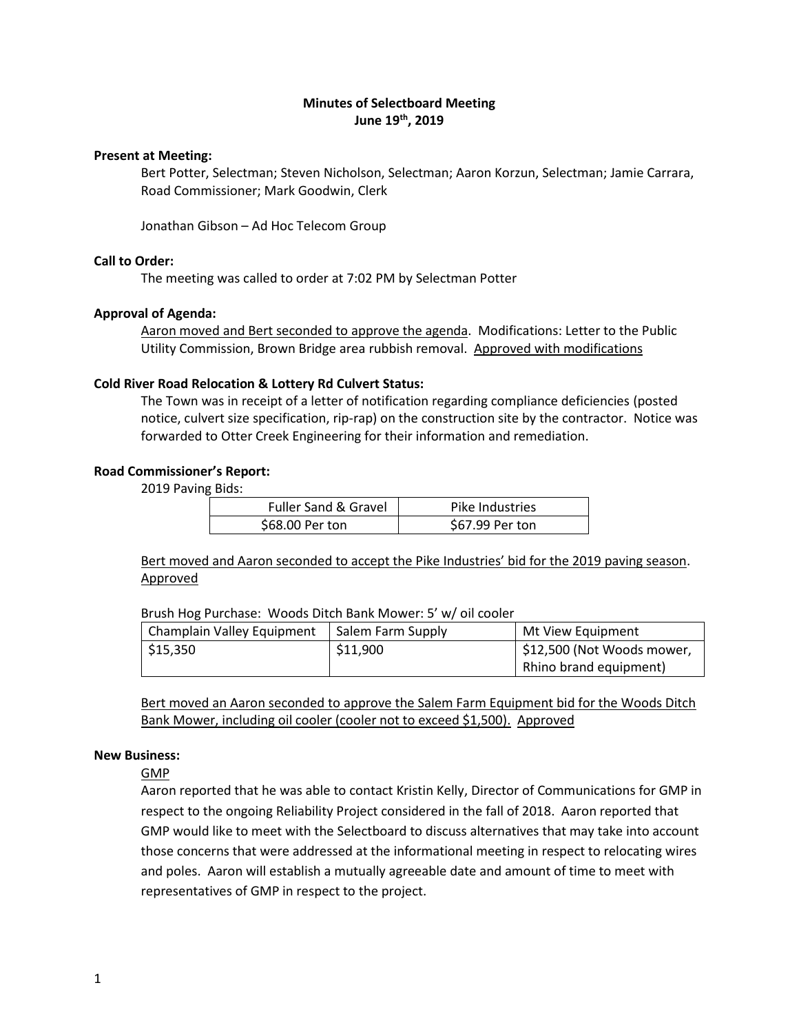# **Minutes of Selectboard Meeting June 19th, 2019**

### **Present at Meeting:**

Bert Potter, Selectman; Steven Nicholson, Selectman; Aaron Korzun, Selectman; Jamie Carrara, Road Commissioner; Mark Goodwin, Clerk

Jonathan Gibson – Ad Hoc Telecom Group

## **Call to Order:**

The meeting was called to order at 7:02 PM by Selectman Potter

## **Approval of Agenda:**

Aaron moved and Bert seconded to approve the agenda. Modifications: Letter to the Public Utility Commission, Brown Bridge area rubbish removal. Approved with modifications

## **Cold River Road Relocation & Lottery Rd Culvert Status:**

The Town was in receipt of a letter of notification regarding compliance deficiencies (posted notice, culvert size specification, rip-rap) on the construction site by the contractor. Notice was forwarded to Otter Creek Engineering for their information and remediation.

## **Road Commissioner's Report:**

2019 Paving Bids:

| <b>Fuller Sand &amp; Gravel</b> | Pike Industries |
|---------------------------------|-----------------|
| \$68.00 Per ton                 | \$67.99 Per ton |

Bert moved and Aaron seconded to accept the Pike Industries' bid for the 2019 paving season. Approved

Brush Hog Purchase: Woods Ditch Bank Mower: 5' w/ oil cooler

| Champlain Valley Equipment | Salem Farm Supply | Mt View Equipment          |
|----------------------------|-------------------|----------------------------|
| $\frac{1}{2}$ \$15,350     | \$11,900          | \$12,500 (Not Woods mower, |
|                            |                   | Rhino brand equipment)     |

Bert moved an Aaron seconded to approve the Salem Farm Equipment bid for the Woods Ditch Bank Mower, including oil cooler (cooler not to exceed \$1,500). Approved

### **New Business:**

GMP

Aaron reported that he was able to contact Kristin Kelly, Director of Communications for GMP in respect to the ongoing Reliability Project considered in the fall of 2018. Aaron reported that GMP would like to meet with the Selectboard to discuss alternatives that may take into account those concerns that were addressed at the informational meeting in respect to relocating wires and poles. Aaron will establish a mutually agreeable date and amount of time to meet with representatives of GMP in respect to the project.